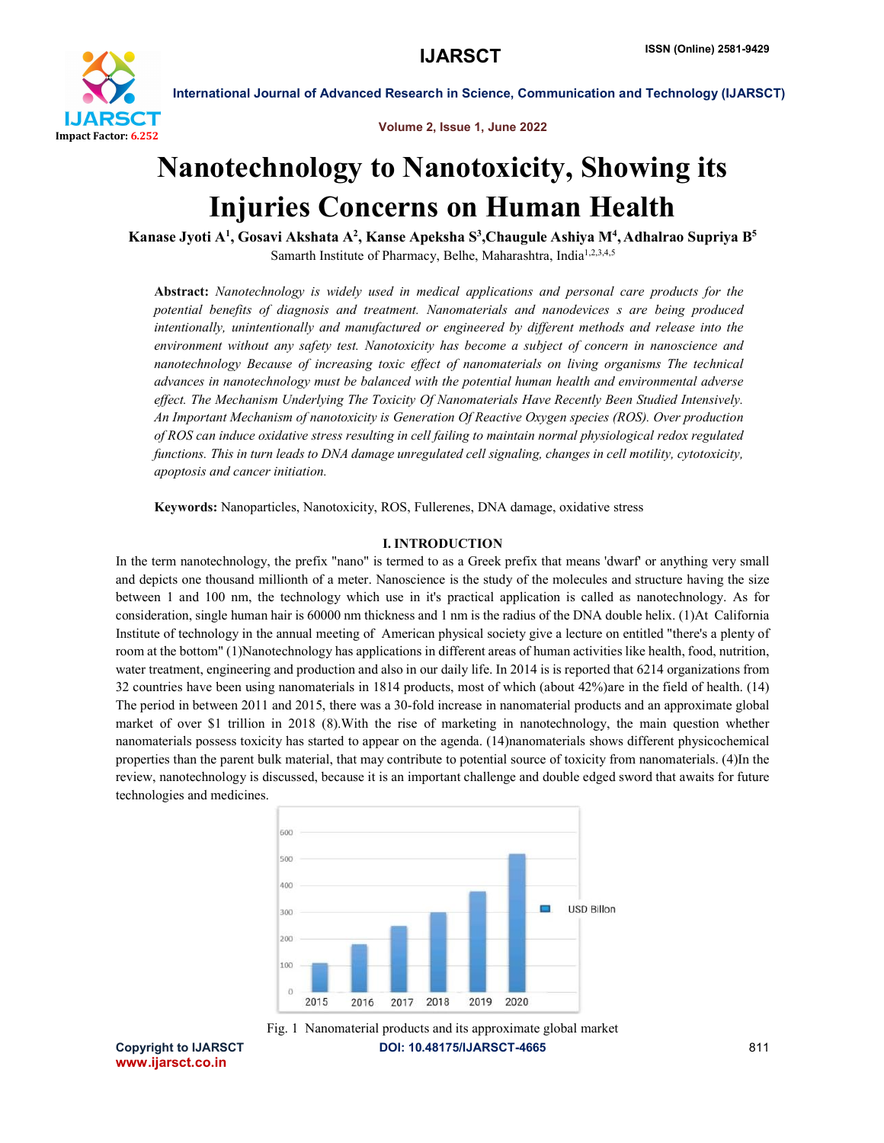

Volume 2, Issue 1, June 2022

# Nanotechnology to Nanotoxicity, Showing its Injuries Concerns on Human Health

Kanase Jyoti A<sup>1</sup>, Gosavi Akshata A<sup>2</sup>, Kanse Apeksha S<sup>3</sup>,Chaugule Ashiya M<sup>4</sup>, Adhalrao Supriya B<sup>5</sup> Samarth Institute of Pharmacy, Belhe, Maharashtra, India<sup>1,2,3,4,5</sup>

Abstract: *Nanotechnology is widely used in medical applications and personal care products for the potential benefits of diagnosis and treatment. Nanomaterials and nanodevices s are being produced intentionally, unintentionally and manufactured or engineered by different methods and release into the environment without any safety test. Nanotoxicity has become a subject of concern in nanoscience and nanotechnology Because of increasing toxic effect of nanomaterials on living organisms The technical advances in nanotechnology must be balanced with the potential human health and environmental adverse effect. The Mechanism Underlying The Toxicity Of Nanomaterials Have Recently Been Studied Intensively. An Important Mechanism of nanotoxicity is Generation Of Reactive Oxygen species (ROS). Over production of ROS can induce oxidative stress resulting in cell failing to maintain normal physiological redox regulated functions. This in turn leads to DNA damage unregulated cell signaling, changes in cell motility, cytotoxicity, apoptosis and cancer initiation.*

Keywords: Nanoparticles, Nanotoxicity, ROS, Fullerenes, DNA damage, oxidative stress

### I. INTRODUCTION

In the term nanotechnology, the prefix "nano" is termed to as a Greek prefix that means 'dwarf' or anything very small and depicts one thousand millionth of a meter. Nanoscience is the study of the molecules and structure having the size between 1 and 100 nm, the technology which use in it's practical application is called as nanotechnology. As for consideration, single human hair is 60000 nm thickness and 1 nm is the radius of the DNA double helix. (1)At California Institute of technology in the annual meeting of American physical society give a lecture on entitled "there's a plenty of room at the bottom" (1)Nanotechnology has applications in different areas of human activities like health, food, nutrition, water treatment, engineering and production and also in our daily life. In 2014 is is reported that 6214 organizations from 32 countries have been using nanomaterials in 1814 products, most of which (about 42%)are in the field of health. (14) The period in between 2011 and 2015, there was a 30-fold increase in nanomaterial products and an approximate global market of over \$1 trillion in 2018 (8).With the rise of marketing in nanotechnology, the main question whether nanomaterials possess toxicity has started to appear on the agenda. (14)nanomaterials shows different physicochemical properties than the parent bulk material, that may contribute to potential source of toxicity from nanomaterials. (4)In the review, nanotechnology is discussed, because it is an important challenge and double edged sword that awaits for future technologies and medicines.





www.ijarsct.co.in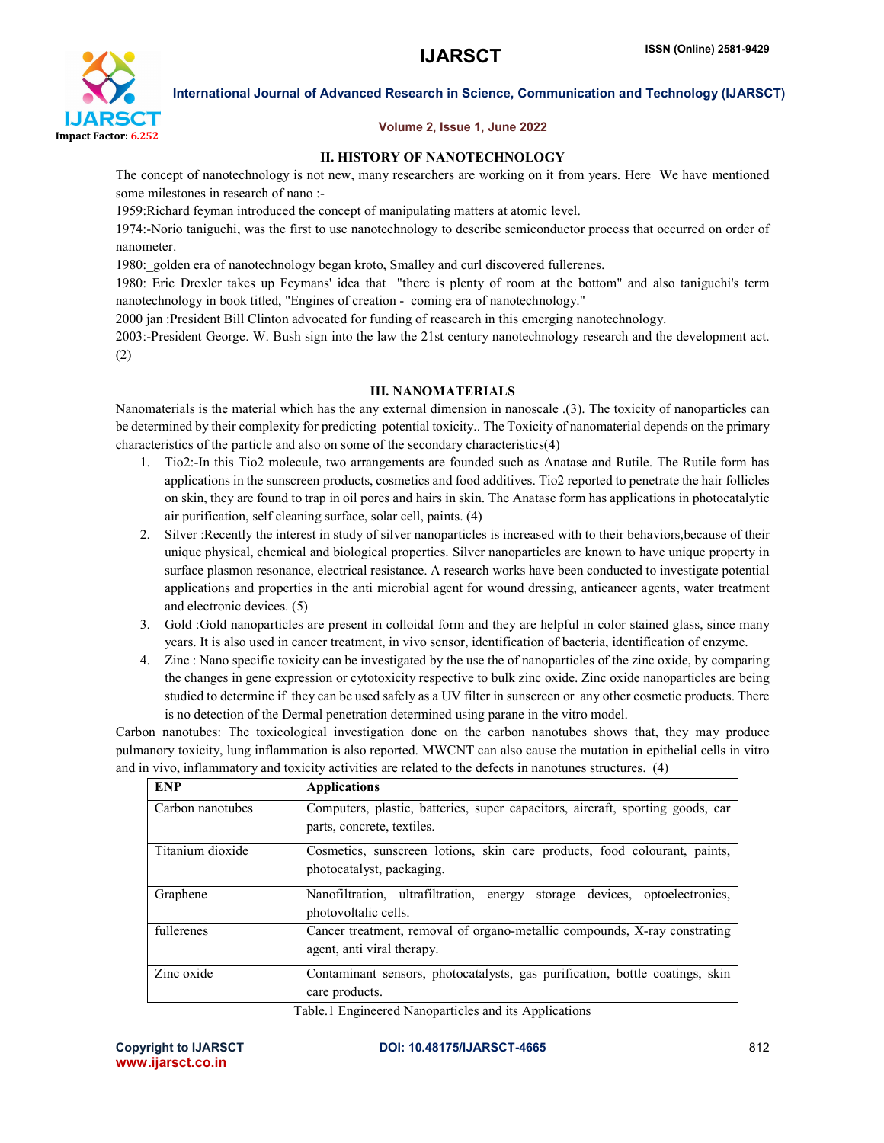

### Volume 2, Issue 1, June 2022

### ІІ. HISTORY OF NANOTECHNOLOGY

The concept of nanotechnology is not new, many researchers are working on it from years. Here We have mentioned some milestones in research of nano :-

1959:Richard feyman introduced the concept of manipulating matters at atomic level.

1974:-Norio taniguchi, was the first to use nanotechnology to describe semiconductor process that occurred on order of nanometer.

1980: golden era of nanotechnology began kroto, Smalley and curl discovered fullerenes.

1980: Eric Drexler takes up Feymans' idea that "there is plenty of room at the bottom" and also taniguchi's term nanotechnology in book titled, "Engines of creation - coming era of nanotechnology."

2000 jan :President Bill Clinton advocated for funding of reasearch in this emerging nanotechnology.

2003:-President George. W. Bush sign into the law the 21st century nanotechnology research and the development act. (2)

### ІІІ. NANOMATERIALS

Nanomaterials is the material which has the any external dimension in nanoscale .(3). The toxicity of nanoparticles can be determined by their complexity for predicting potential toxicity.. The Toxicity of nanomaterial depends on the primary characteristics of the particle and also on some of the secondary characteristics(4)

- 1. Tio2:-In this Tio2 molecule, two arrangements are founded such as Anatase and Rutile. The Rutile form has applications in the sunscreen products, cosmetics and food additives. Tio2 reported to penetrate the hair follicles on skin, they are found to trap in oil pores and hairs in skin. The Anatase form has applications in photocatalytic air purification, self cleaning surface, solar cell, paints. (4)
- 2. Silver :Recently the interest in study of silver nanoparticles is increased with to their behaviors,because of their unique physical, chemical and biological properties. Silver nanoparticles are known to have unique property in surface plasmon resonance, electrical resistance. A research works have been conducted to investigate potential applications and properties in the anti microbial agent for wound dressing, anticancer agents, water treatment and electronic devices. (5)
- 3. Gold :Gold nanoparticles are present in colloidal form and they are helpful in color stained glass, since many years. It is also used in cancer treatment, in vivo sensor, identification of bacteria, identification of enzyme.
- 4. Zinc : Nano specific toxicity can be investigated by the use the of nanoparticles of the zinc oxide, by comparing the changes in gene expression or cytotoxicity respective to bulk zinc oxide. Zinc oxide nanoparticles are being studied to determine if they can be used safely as a UV filter in sunscreen or any other cosmetic products. There is no detection of the Dermal penetration determined using parane in the vitro model.

Carbon nanotubes: The toxicological investigation done on the carbon nanotubes shows that, they may produce pulmanory toxicity, lung inflammation is also reported. MWCNT can also cause the mutation in epithelial cells in vitro and in vivo, inflammatory and toxicity activities are related to the defects in nanotunes structures. (4)

| <b>ENP</b>       | <b>Applications</b>                                                                                          |
|------------------|--------------------------------------------------------------------------------------------------------------|
| Carbon nanotubes | Computers, plastic, batteries, super capacitors, aircraft, sporting goods, car<br>parts, concrete, textiles. |
| Titanium dioxide | Cosmetics, sunscreen lotions, skin care products, food colourant, paints,<br>photocatalyst, packaging.       |
| Graphene         | Nanofiltration, ultrafiltration, energy storage devices, optoelectronics,<br>photovoltalic cells.            |
| fullerenes       | Cancer treatment, removal of organo-metallic compounds, X-ray constrating<br>agent, anti viral therapy.      |
| Zinc oxide       | Contaminant sensors, photocatalysts, gas purification, bottle coatings, skin<br>care products.               |

Table.1 Engineered Nanoparticles and its Applications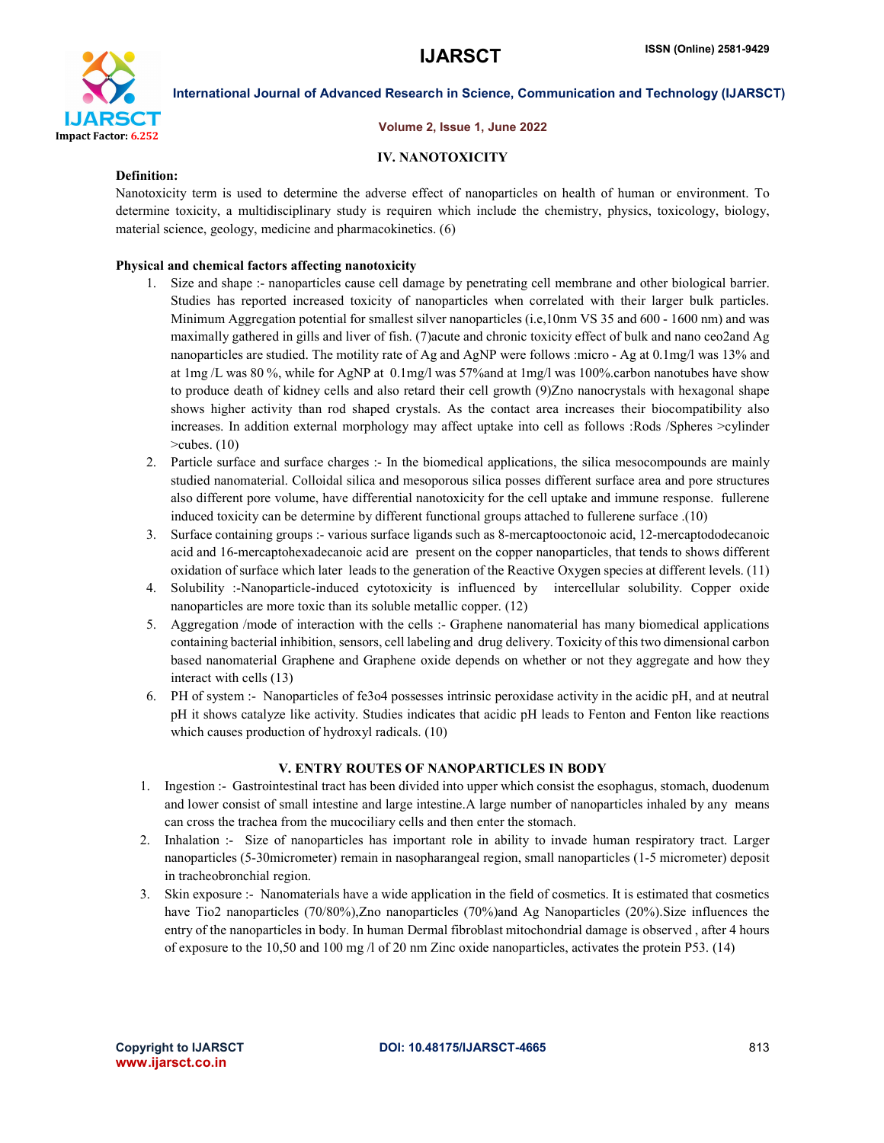

#### Volume 2, Issue 1, June 2022

### IV. NANOTOXICITY

#### Definition:

Nanotoxicity term is used to determine the adverse effect of nanoparticles on health of human or environment. To determine toxicity, a multidisciplinary study is requiren which include the chemistry, physics, toxicology, biology, material science, geology, medicine and pharmacokinetics. (6)

### Physical and chemical factors affecting nanotoxicity

- 1. Size and shape :- nanoparticles cause cell damage by penetrating cell membrane and other biological barrier. Studies has reported increased toxicity of nanoparticles when correlated with their larger bulk particles. Minimum Aggregation potential for smallest silver nanoparticles (i.e,10nm VS 35 and 600 - 1600 nm) and was maximally gathered in gills and liver of fish. (7)acute and chronic toxicity effect of bulk and nano ceo2and Ag nanoparticles are studied. The motility rate of Ag and AgNP were follows :micro - Ag at 0.1mg/l was 13% and at 1mg /L was 80 %, while for AgNP at 0.1mg/l was 57%and at 1mg/l was 100%.carbon nanotubes have show to produce death of kidney cells and also retard their cell growth (9)Zno nanocrystals with hexagonal shape shows higher activity than rod shaped crystals. As the contact area increases their biocompatibility also increases. In addition external morphology may affect uptake into cell as follows :Rods /Spheres >cylinder >cubes. (10)
- 2. Particle surface and surface charges :- In the biomedical applications, the silica mesocompounds are mainly studied nanomaterial. Colloidal silica and mesoporous silica posses different surface area and pore structures also different pore volume, have differential nanotoxicity for the cell uptake and immune response. fullerene induced toxicity can be determine by different functional groups attached to fullerene surface .(10)
- 3. Surface containing groups :- various surface ligands such as 8-mercaptooctonoic acid, 12-mercaptododecanoic acid and 16-mercaptohexadecanoic acid are present on the copper nanoparticles, that tends to shows different oxidation of surface which later leads to the generation of the Reactive Oxygen species at different levels. (11)
- 4. Solubility :-Nanoparticle-induced cytotoxicity is influenced by intercellular solubility. Copper oxide nanoparticles are more toxic than its soluble metallic copper. (12)
- 5. Aggregation /mode of interaction with the cells :- Graphene nanomaterial has many biomedical applications containing bacterial inhibition, sensors, cell labeling and drug delivery. Toxicity of this two dimensional carbon based nanomaterial Graphene and Graphene oxide depends on whether or not they aggregate and how they interact with cells (13)
- 6. PH of system :- Nanoparticles of fe3o4 possesses intrinsic peroxidase activity in the acidic pH, and at neutral pH it shows catalyze like activity. Studies indicates that acidic pH leads to Fenton and Fenton like reactions which causes production of hydroxyl radicals. (10)

#### V. ENTRY ROUTES OF NANOPARTICLES IN BODY

- 1. Ingestion :- Gastrointestinal tract has been divided into upper which consist the esophagus, stomach, duodenum and lower consist of small intestine and large intestine.A large number of nanoparticles inhaled by any means can cross the trachea from the mucociliary cells and then enter the stomach.
- 2. Inhalation :- Size of nanoparticles has important role in ability to invade human respiratory tract. Larger nanoparticles (5-30micrometer) remain in nasopharangeal region, small nanoparticles (1-5 micrometer) deposit in tracheobronchial region.
- 3. Skin exposure :- Nanomaterials have a wide application in the field of cosmetics. It is estimated that cosmetics have Tio2 nanoparticles (70/80%),Zno nanoparticles (70%)and Ag Nanoparticles (20%).Size influences the entry of the nanoparticles in body. In human Dermal fibroblast mitochondrial damage is observed , after 4 hours of exposure to the 10,50 and 100 mg /l of 20 nm Zinc oxide nanoparticles, activates the protein P53. (14)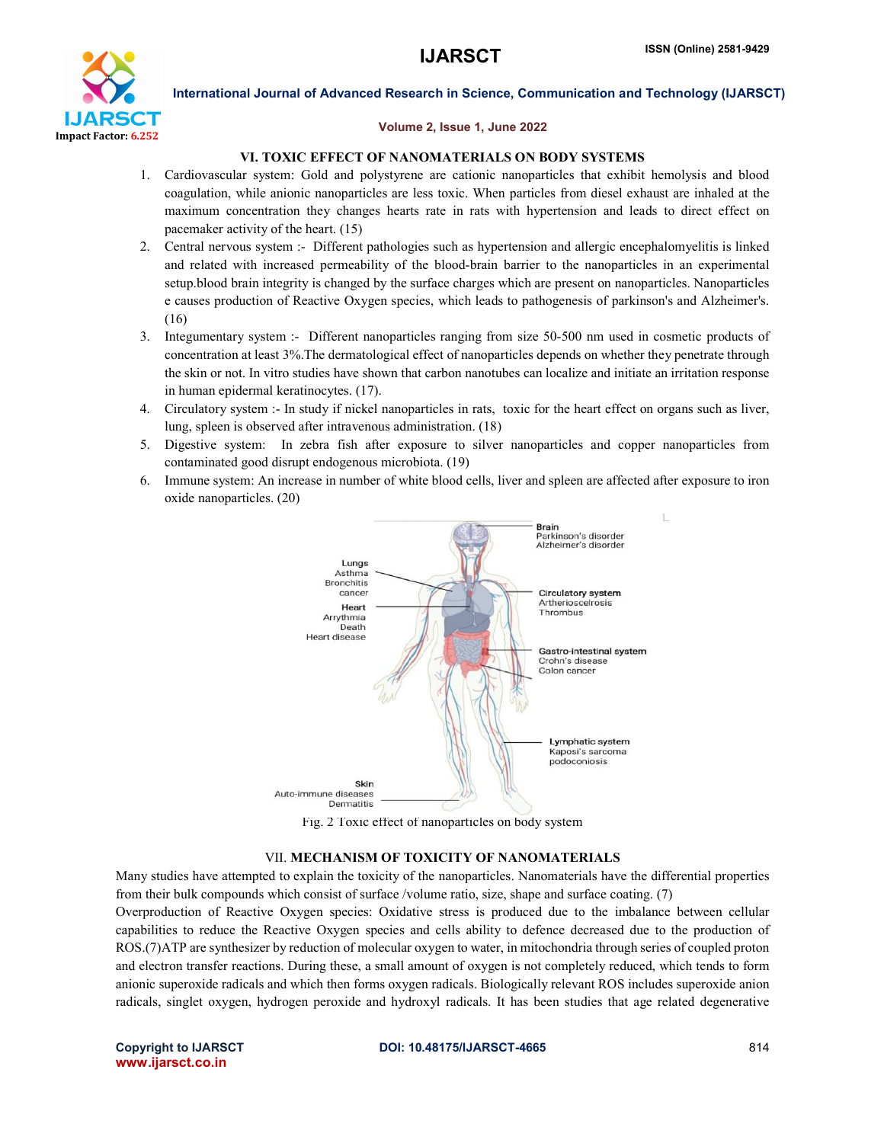

#### Volume 2, Issue 1, June 2022

### VI. TOXIC EFFECT OF NANOMATERIALS ON BODY SYSTEMS

- 1. Cardiovascular system: Gold and polystyrene are cationic nanoparticles that exhibit hemolysis and blood coagulation, while anionic nanoparticles are less toxic. When particles from diesel exhaust are inhaled at the maximum concentration they changes hearts rate in rats with hypertension and leads to direct effect on pacemaker activity of the heart. (15)
- 2. Central nervous system :- Different pathologies such as hypertension and allergic encephalomyelitis is linked and related with increased permeability of the blood-brain barrier to the nanoparticles in an experimental setup.blood brain integrity is changed by the surface charges which are present on nanoparticles. Nanoparticles e causes production of Reactive Oxygen species, which leads to pathogenesis of parkinson's and Alzheimer's. (16)
- 3. Integumentary system :- Different nanoparticles ranging from size 50-500 nm used in cosmetic products of concentration at least 3%.The dermatological effect of nanoparticles depends on whether they penetrate through the skin or not. In vitro studies have shown that carbon nanotubes can localize and initiate an irritation response in human epidermal keratinocytes. (17).
- 4. Circulatory system :- In study if nickel nanoparticles in rats, toxic for the heart effect on organs such as liver, lung, spleen is observed after intravenous administration. (18)
- 5. Digestive system: In zebra fish after exposure to silver nanoparticles and copper nanoparticles from contaminated good disrupt endogenous microbiota. (19)
- 6. Immune system: An increase in number of white blood cells, liver and spleen are affected after exposure to iron oxide nanoparticles. (20)



Fig. 2 Toxic effect of nanoparticles on body system

#### VII. MECHANISM OF TOXICITY OF NANOMATERIALS

Many studies have attempted to explain the toxicity of the nanoparticles. Nanomaterials have the differential properties from their bulk compounds which consist of surface /volume ratio, size, shape and surface coating. (7)

Overproduction of Reactive Oxygen species: Oxidative stress is produced due to the imbalance between cellular capabilities to reduce the Reactive Oxygen species and cells ability to defence decreased due to the production of ROS.(7)ATP are synthesizer by reduction of molecular oxygen to water, in mitochondria through series of coupled proton and electron transfer reactions. During these, a small amount of oxygen is not completely reduced, which tends to form anionic superoxide radicals and which then forms oxygen radicals. Biologically relevant ROS includes superoxide anion radicals, singlet oxygen, hydrogen peroxide and hydroxyl radicals. It has been studies that age related degenerative

www.ijarsct.co.in

#### Copyright to IJARSCT **DOI: 10.48175/IJARSCT-4665** 814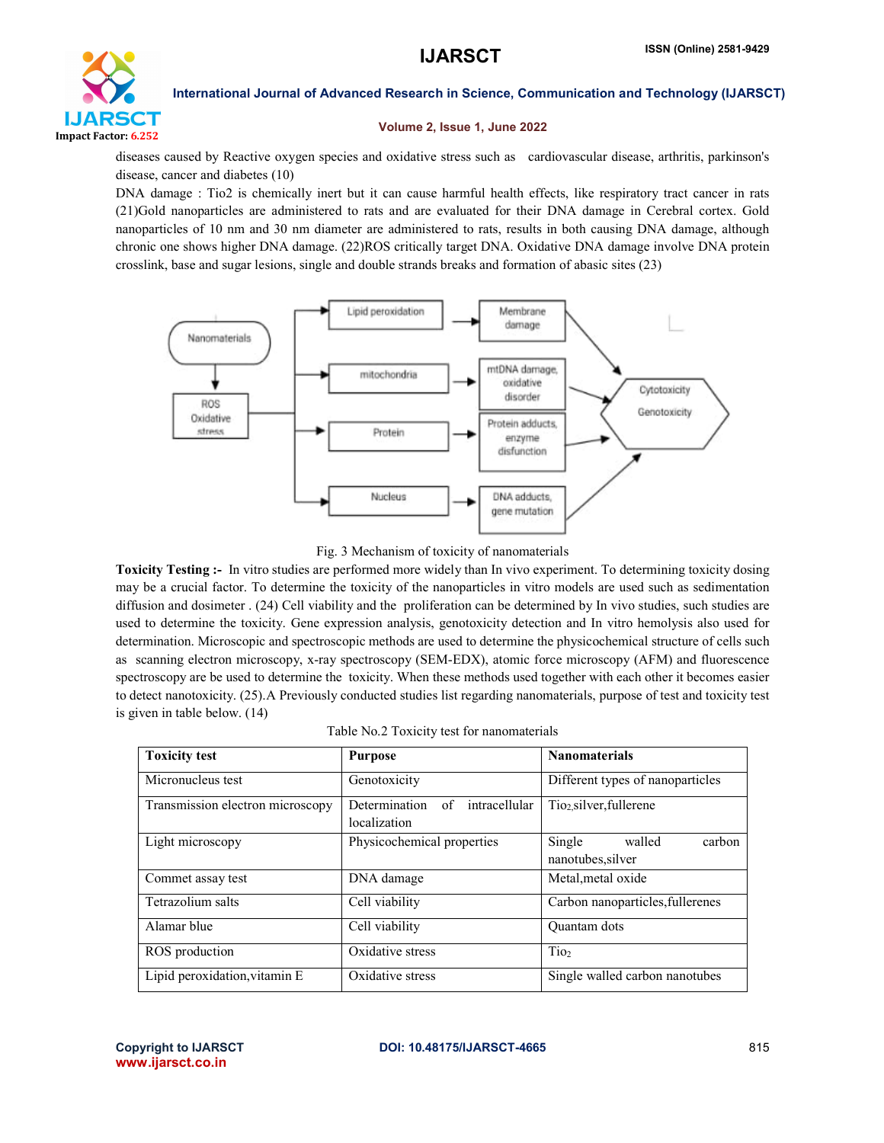

#### Volume 2, Issue 1, June 2022

diseases caused by Reactive oxygen species and oxidative stress such as cardiovascular disease, arthritis, parkinson's disease, cancer and diabetes (10)

DNA damage : Tio2 is chemically inert but it can cause harmful health effects, like respiratory tract cancer in rats (21)Gold nanoparticles are administered to rats and are evaluated for their DNA damage in Cerebral cortex. Gold nanoparticles of 10 nm and 30 nm diameter are administered to rats, results in both causing DNA damage, although chronic one shows higher DNA damage. (22)ROS critically target DNA. Oxidative DNA damage involve DNA protein crosslink, base and sugar lesions, single and double strands breaks and formation of abasic sites (23)



Fig. 3 Mechanism of toxicity of nanomaterials

Toxicity Testing :- In vitro studies are performed more widely than In vivo experiment. To determining toxicity dosing may be a crucial factor. To determine the toxicity of the nanoparticles in vitro models are used such as sedimentation diffusion and dosimeter . (24) Cell viability and the proliferation can be determined by In vivo studies, such studies are used to determine the toxicity. Gene expression analysis, genotoxicity detection and In vitro hemolysis also used for determination. Microscopic and spectroscopic methods are used to determine the physicochemical structure of cells such as scanning electron microscopy, x-ray spectroscopy (SEM-EDX), atomic force microscopy (AFM) and fluorescence spectroscopy are be used to determine the toxicity. When these methods used together with each other it becomes easier to detect nanotoxicity. (25).A Previously conducted studies list regarding nanomaterials, purpose of test and toxicity test is given in table below. (14)

| <b>Toxicity test</b>             | <b>Purpose</b>                                       | <b>Nanomaterials</b>                            |
|----------------------------------|------------------------------------------------------|-------------------------------------------------|
| Micronucleus test                | Genotoxicity                                         | Different types of nanoparticles                |
| Transmission electron microscopy | Determination<br>intracellular<br>of<br>localization | Tio <sub>2</sub> silver, fullerene              |
| Light microscopy                 | Physicochemical properties                           | Single<br>walled<br>carbon<br>nanotubes, silver |
| Commet assay test                | DNA damage                                           | Metal, metal oxide                              |
| Tetrazolium salts                | Cell viability                                       | Carbon nanoparticles, fullerenes                |
| Alamar blue                      | Cell viability                                       | <b>Ouantam</b> dots                             |
| ROS production                   | Oxidative stress                                     | Tio <sub>2</sub>                                |
| Lipid peroxidation, vitamin E    | Oxidative stress                                     | Single walled carbon nanotubes                  |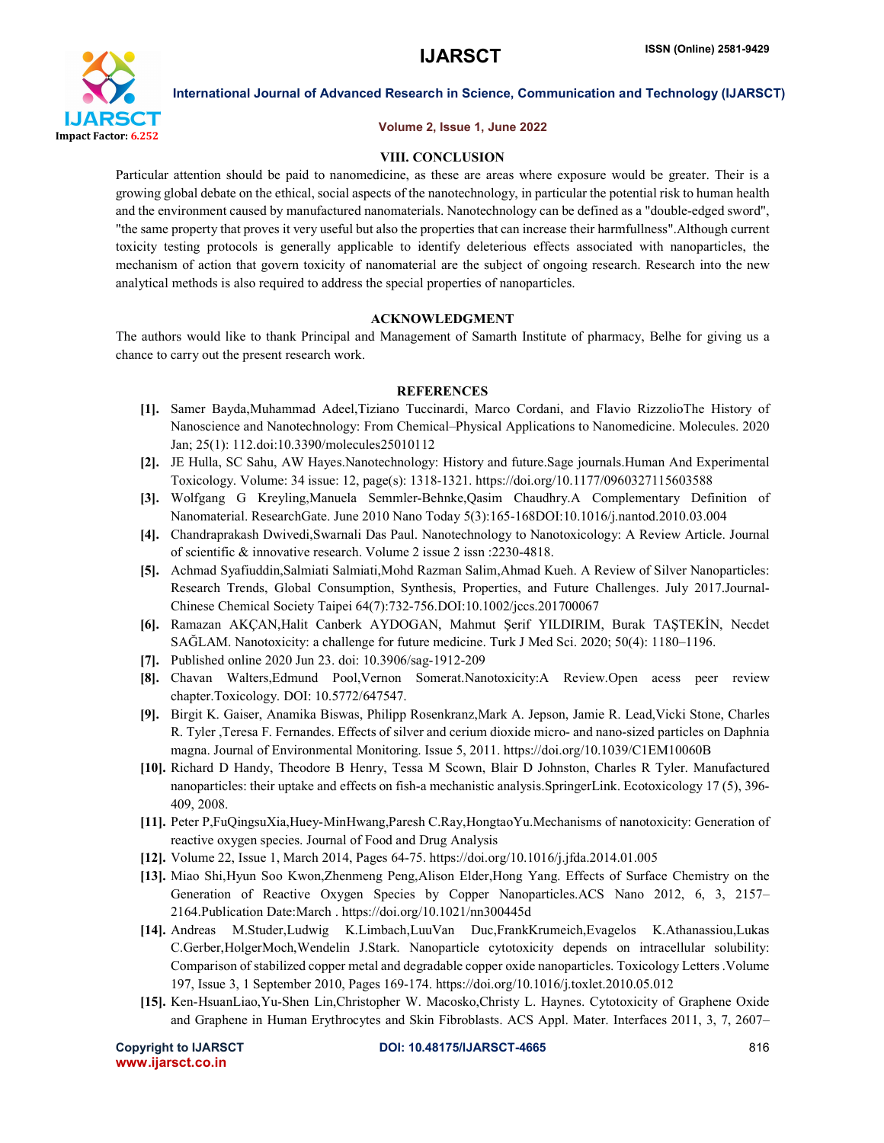

#### Volume 2, Issue 1, June 2022

#### VIII. CONCLUSION

Particular attention should be paid to nanomedicine, as these are areas where exposure would be greater. Their is a growing global debate on the ethical, social aspects of the nanotechnology, in particular the potential risk to human health and the environment caused by manufactured nanomaterials. Nanotechnology can be defined as a "double-edged sword", "the same property that proves it very useful but also the properties that can increase their harmfullness".Although current toxicity testing protocols is generally applicable to identify deleterious effects associated with nanoparticles, the mechanism of action that govern toxicity of nanomaterial are the subject of ongoing research. Research into the new analytical methods is also required to address the special properties of nanoparticles.

#### ACKNOWLEDGMENT

The authors would like to thank Principal and Management of Samarth Institute of pharmacy, Belhe for giving us a chance to carry out the present research work.

### REFERENCES

- [1]. Samer Bayda,Muhammad Adeel,Tiziano Tuccinardi, Marco Cordani, and Flavio RizzolioThe History of Nanoscience and Nanotechnology: From Chemical–Physical Applications to Nanomedicine. Molecules. 2020 Jan; 25(1): 112.doi:10.3390/molecules25010112
- [2]. JE Hulla, SC Sahu, AW Hayes.Nanotechnology: History and future.Sage journals.Human And Experimental Toxicology. Volume: 34 issue: 12, page(s): 1318-1321. https://doi.org/10.1177/0960327115603588
- [3]. Wolfgang G Kreyling,Manuela Semmler-Behnke,Qasim Chaudhry.A Complementary Definition of Nanomaterial. ResearchGate. June 2010 Nano Today 5(3):165-168DOI:10.1016/j.nantod.2010.03.004
- [4]. Chandraprakash Dwivedi,Swarnali Das Paul. Nanotechnology to Nanotoxicology: A Review Article. Journal of scientific & innovative research. Volume 2 issue 2 issn :2230-4818.
- [5]. Achmad Syafiuddin,Salmiati Salmiati,Mohd Razman Salim,Ahmad Kueh. A Review of Silver Nanoparticles: Research Trends, Global Consumption, Synthesis, Properties, and Future Challenges. July 2017.Journal-Chinese Chemical Society Taipei 64(7):732-756.DOI:10.1002/jccs.201700067
- [6]. Ramazan AKÇAN,Halit Canberk AYDOGAN, Mahmut Şerif YILDIRIM, Burak TAŞTEKİN, Necdet SAĞLAM. Nanotoxicity: a challenge for future medicine. Turk J Med Sci. 2020; 50(4): 1180–1196.
- [7]. Published online 2020 Jun 23. doi: 10.3906/sag-1912-209
- [8]. Chavan Walters,Edmund Pool,Vernon Somerat.Nanotoxicity:A Review.Open acess peer review chapter.Toxicology. DOI: 10.5772/647547.
- [9]. Birgit K. Gaiser, Anamika Biswas, Philipp Rosenkranz,Mark A. Jepson, Jamie R. Lead,Vicki Stone, Charles R. Tyler ,Teresa F. Fernandes. Effects of silver and cerium dioxide micro- and nano-sized particles on Daphnia magna. Journal of Environmental Monitoring. Issue 5, 2011. https://doi.org/10.1039/C1EM10060B
- [10]. Richard D Handy, Theodore B Henry, Tessa M Scown, Blair D Johnston, Charles R Tyler. Manufactured nanoparticles: their uptake and effects on fish-a mechanistic analysis.SpringerLink. Ecotoxicology 17 (5), 396- 409, 2008.
- [11]. Peter P,FuQingsuXia,Huey-MinHwang,Paresh C.Ray,HongtaoYu.Mechanisms of nanotoxicity: Generation of reactive oxygen species. Journal of Food and Drug Analysis
- [12]. Volume 22, Issue 1, March 2014, Pages 64-75. https://doi.org/10.1016/j.jfda.2014.01.005
- [13]. Miao Shi,Hyun Soo Kwon,Zhenmeng Peng,Alison Elder,Hong Yang. Effects of Surface Chemistry on the Generation of Reactive Oxygen Species by Copper Nanoparticles.ACS Nano 2012, 6, 3, 2157– 2164.Publication Date:March . https://doi.org/10.1021/nn300445d
- [14]. Andreas M.Studer,Ludwig K.Limbach,LuuVan Duc,FrankKrumeich,Evagelos K.Athanassiou,Lukas C.Gerber,HolgerMoch,Wendelin J.Stark. Nanoparticle cytotoxicity depends on intracellular solubility: Comparison of stabilized copper metal and degradable copper oxide nanoparticles. Toxicology Letters .Volume 197, Issue 3, 1 September 2010, Pages 169-174. https://doi.org/10.1016/j.toxlet.2010.05.012
- [15]. Ken-HsuanLiao,Yu-Shen Lin,Christopher W. Macosko,Christy L. Haynes. Cytotoxicity of Graphene Oxide and Graphene in Human Erythrocytes and Skin Fibroblasts. ACS Appl. Mater. Interfaces 2011, 3, 7, 2607–